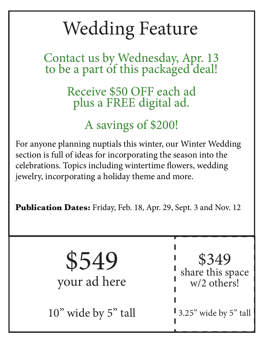### Wedding Feature

Contact us by Wednesday, Apr. 13 to be a part of this packaged deal!

> Receive \$50 OFF each ad plus a FREE digital ad.

### A savings of \$200!

For anyone planning nuptials this winter, our Winter Wedding section is full of ideas for incorporating the season into the celebrations. Topics including wintertime flowers, wedding jewelry, incorporating a holiday theme and more.

**Publication Dates:** Friday, Feb. 18, Apr. 29, Sept. 3 and Nov. 12

\$549 your ad here

10" wide by 5" tall

\$349 share this space w/2 others!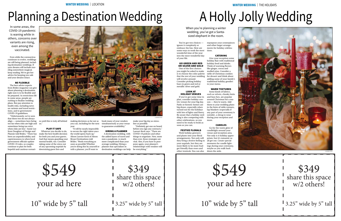WINTER WEDDING | LOCATION

Even while the coronavirus continues to evolve, weddings are still being planned, including destination weddings. If your dreams still include traveling somewhere magical, keep reading. We've got hot advice for keeping you safe and your dreams intact.

### BE FLEXIBLE

The best advice experts from Brides magazine can give about planning a destination right now is to be flexible and be prepared. As restrictions lift in some areas, people are rushing to finalize wedding plans. But pay attention to health risks, including news on variants and travel restrictions, and to government COVID-19 guidelines.

"Unfortunately, we've seen that these two do not always align — sometimes laws being too lax when risks are high and sometimes being too strict when risks are low," Annie Lee from Daughter of Design and Plannie told Brides. "There has been an unpredictability and capriciousness to when local government officials update COVID-19 rules, so couples continue to plan for both hopeful and cautious scenari-

make your big day as stressfree as possible

os until this is truly all behind

us."

#### PLAY IT SAFE

Whatever you decide to do, make the best health decision for both you and your guests. And that means guarding your mental health, too. Consider taking some of the stress out of any upcoming nuptials by downsizing guest lists and to secure the right talent once the world opens back up," Alison Laesser Keck of Alison Bryan Destinations told Brides. "Book everything as soon as possible! Whether you're doing this by yourself or with a planner, you'll want to

year.

making decisions as far out as you can, including for the next "It will be nearly impossible book many of your vendors simultaneously as your venue to guarantee availability."

#### HIRING A PLANNER

A destination wedding, with the added layers of travel and now a pandemic, is much more complicated than your average wedding. Hiring a planner that specializes in destination weddings can help

"Definitely get one on board before you sign any contracts," Laesser-Keck says. "There are COVID-19 policies and other things to negotiate. Now, more than ever, these strategies are vital. Also, if you have to postpone again, your planner's relationships with vendors will be everything."

## Planning a Destination Wedding

In some areas, the COVID-19 pandemic is waning while in others, concerns over variants are rising, even among the vaccinated.





10" wide by 5" tall

\$349 share this space w/2 others!

3.25" wide by 5" tall

WINTER WEDDING | THE HOLIDAYS

You've got two choices ignore it completely or embrace the fun. Here are some ways to work the most wonderful time of the year into the most wonderful day of your life.

#### GO GREEN AND RED OR SILVER AND GOLD

One of the first choices you might be asked to make is to choose the color palette that the rest of your wedding will revolve around. Consider picking holiday hues in green and red or metallic silver and gold.

### LOOK AT HOLIDAY VENUES

If you've got some time to plan, consider holiday-centric venues for your big day. Parks or historic homes are big draws, especially when turned out for the holidays with lots of lights and finery. Be aware that a holiday wedding is also competing with other celebrations, so you need to be ready to book as soon as you can.

### FESTIVE FLORALS

Work holiday greenery and plants into your floral arrangements. Not only will they bring a festive feeling to your nuptials, but they are more likely to be more budget friendly than roses and other tropicals. You can also

repurpose your centerpieces

and other larger arrangements for holiday celebrations.

CATERING

Give your reception some holiday flair with traditional holiday food and drinks. Think of warming flavors like ginger, cocoa and mulled wine. Consider a table of Christmas cookies for dessert and think about adding some of your family's traditional holiday goodies to your menu.

WARM TEXTURES

Some kinds of fabrics, such as velvets, chunky knits and faux furs, are popular around Christmas for a reason — they're warm. Add them to your wedding plans in the form of table runners, lap blankets (especially if any part of your ceremony is outside), a shrug to wear during your reception and more.

### CANDLES

Go for the warm glow of candlelight around your venue and reception area. Not only is it holiday appropriate, but it's romantic as all get out. Create special moments for candle lightings during your ceremony, maybe as you walk back down the aisle.

# A Holly Jolly Wedding

When you're planning a winter wedding, you've got a Santasized elephant in the room.



\$549 your ad here

10" wide by 5" tall

### \$349 share this space w/2 others!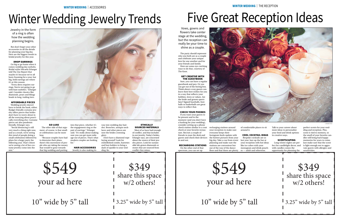But don't forget your other accessories in all the details for planning your big day. Here are the biggest trends in bridal jewelry for this year.

### DROP EARRINGS

Go big or go home when it comes wedding day earbobs. Bridal stylist Micaela Erlanger told The Zoe Report that maybe it's because we've all been Zooming for a year, but big, bold earrings are where it's at this season.

"Every dress requires earrings. You're not going to go with bare earlobes," Erlanger said. Consider classics like diamonds, pears and blingy beads in long, trailing tiers.

### AFFORDABLE PIECES

"Because couples have had to downsize their plans, there's this movement of people who are taking the money that would've gone towards age out of pieces. That's what modern couples are looking for.

Wedding jewelry doesn't have to break the bank, either. Budget-friendly costume jewelry offers pieces that brides don't have to worry about in all the worrying about practically everything else. Costume pieces are also pandemic friendly, Erlanger says.

"Social distancing is still very much a thing right now, and as a result, we're seeing this trend of people doing a small celebration followed by plans for a larger party the following year. That's where we're seeing a lot of fun costume jewelry come into the

mix."



### GO LUXE

luxe.

The other side of that argument, of course, is that smaller celebrations can be more into that piece, whether it's the engagement ring or the pair of earrings," Erlanger said. "It's really about making sure you can get more mile-

that big wedding and putting HAIR ACCESSORIES Jewelry is also making its way into wedding day hairdos. Brooches, antique necklaces and other pieces are now the brides crowning glory.

Don't have a diamond rope laying around? Look for embellished combs, barrettes and bun holders to bring a dash of sparkle to your wedding 'do.

### ETHICALLY SOURCED MATERIALS

Most of us have had enough of conflict, and that includes in our jewelry. Today's brides, Erlanger says, are concerned about the source of their jewelry pieces. Look for sustainable lab-grown diamonds or stones that are sourced from conflict-free mines.

## Winter Wedding Jewelry Trends

Jewelry in the form of a ring is often how the wedding planning begins.

© ADOBE STOCK

### WINTER WEDDING | THE RECEPTION

The party should represent who you both are as a couple and celebrate your unique love for one another and for your friends and family. Here are some eye-catching ways to do that, courtesy of The Knot.

### GET CREATIVE WITH THE GUESTBOOK

Sure, you can have a regular guestbook and pen. Or you can get out of the boring box. Think about a way guests can leave their best wishes for you in a way that reflects your hobbies, loves or values. Are the bride and groom sports fans? Signed baseballs, footballs or basketballs are great ways to reflect that.

### CHECK YOUR PHONES

If you want your guests to be present and in the moment (and you don't have a hashtag for your wedding), consider setting up a phone check station similar to a coat check at your favorite restaurant. Recruit a couple of friends to man the desk and guests and check their devices in and out.

#### RECHARGING STATIONS On the other end of that

spectrum, you can set up

recharging stations around your reception to make sure everyone keeps their

Instagram feeds update with the hottest pictures from your big day. Take a cue from event planning and make sure the stations are convenient but out of the way of the dance

of comfortable places to sit

around it.

floor and that there are plenty es — adult and otherwise. COOL COCKTAIL IDEAS Bespoke cocktails are so last year. Jazz up the bar at your reception with hot ideas like ice cubes with your monogram and drink pouchTalk to your caterer about more ideas to personalize your food and drink options in creative ways.

### **SCENTSCAPING**

Long winter nights are perfect for candlelight decor, and with candles comes the opportunity for planning the

perfect scents for your wedding and reception. Plus, scent is tied to memory, so the smell of your favorite candles will bring back happy memories for years to come. Just make sure that the scent is light enough not to aggravate guests with allergies and sensitivities.

# Five Great Reception Ideas

Vows, gowns and

flowers take center stage at the wedding, but the reception can really be your time to shine as a couple.





10" wide by 5" tall

\$349 share this space w/2 others!

1 3.25" wide by 5" tall

### \$549 your ad here

10" wide by 5" tall

\$349 share this space w/2 others!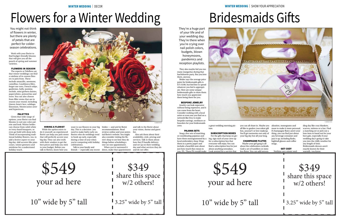WINTER WEDDING | DECOR

Work with your florist to find budget-friendly blooms that will give you all the punch of spring and summer varieties.

### FLOWERS IN SEASON

The experts at Teleflora say that winter weddings can find a rainbow of in-season flowers to pick from. These include amaryllis, anemone, camellias, Casablanca lilies, forget-me-nots, French tulips, gardenias, holly, jasmine, orchids, mini gerbera daisies, paperwhites, poinsettias and roses. You can also choose from filler stems that are in season year-round, including Queen Anne's lace, solidago, limonium, Montecasino aster and hypericum.

### PALETTES

Given that wide range of options, your florist can find blooms to suit any color palette and look. Winter brides can choose from solid-white or ivory-hued bouquets, or even go bold with deep reds. Think of incorporating traditional holiday flowers, too, to add a festive aspect to your big day. Add accents like pinecones, winter greenery and mistletoe for a understated holiday touch.

### HIRING A FLORIST

While the option exists to do it yourself, an experienced florist can help you pick stems that will perfectly accent your big day. They can also work with their vendors to get the best prices and help you stick to your budget. Before you talk to florists, know how you

day. This is a decision you need to make fairly early on; florists who do weddings tend to book up early, especially during a time of year when you're competing with holiday celebrations. Talk to your family and

want to use flowers in your big brides — and ask for florist recommendations. Read reviews online and your potential florist's website. You might also consider visiting the florist's shop to see how they do things before scheduling a one-on-one appointment.

friends — especially any recent

When you've narrowed it down, make that appointment

and talk to the florist about your vision, theme and guest list.

ding day like cozy blankets, scarves, mittens or a hat. Find a matching set or pick out a luxe item to hand out for your best gals, especially if your wedding day's going to take you into the chilly weather for any length of time. Bridesmaids dresses aren't exactly known for their warmth, you know

Also ask them about their availability, style, pricing and services. Talk to them about how they'll handle delivery and set up on their wedding day and what services they do and do not offer.

# Flowers for a Winter Wedding

You might not think of flowers in winter, but there are plenty of petals that are perfect for colderseason celebrations.

> \$349 share this space w/2 others! 1 3.25" wide by 5" tall



### WINTER WEDDING | SHOW YOUR APPRECIATION

They also maybe fed you too them, anyway.

![](_page_3_Picture_37.jpeg)

many margaritas during that bachelorette party. But you love

Brides says the average price point for bridesmaids gifts is \$75-\$100, but feel free to spend whatever you feel is appropriate. Here are some unique bridesmaids gifts to show them how much you appreciate them being there for you.

### BESPOKE JEWELRY

Jewelry can look expensive without being expensive, and it can come from the heart. Consider working with a local artist or even one you find on a network like Etsy to make bespoke earrings, necklaces or bracelets for your bridesmaids crew.

### PAJAMA SETS

Snag a few sets of matching or coordinating pajamas and have them monogrammed by a local embroidery shop. Wrap them in a pretty paper and include a heartfelt note about just how much they mean to  $\overline{y}$  you. PS : These PIs would make ing, sign each of your crew up for a subscription box that

a great wedding morning pic-

ture.

SUBSCRIPTION BOXES For the gifts that keep on giv-

everyone will enjoy. You can find a subscription box for just about anything nowadays. Look around for a service that

all like to garden (succulent gift box, anyone?) or love makeup. You'll get memories not only of your big day but all year long.

### CHAMPAGNE FLUTES

Maybe your girl gang is all about the celebration cocktails. Grab a set of tumblers or stemless flutes. You can add person-

you can all share in. Maybe you alization, monograms and more to make it more personal. If champagne flutes aren't your thing, you can find just about any beverage container and jazz it up, including flasks, highball glasses and coffee mugs.

> GET COZY Nothing says winter wed-

# Bridesmaids Gifts

![](_page_3_Picture_41.jpeg)

They're a huge part of your life and of your wedding day. They're there when you're crying over nail polish colors, budgets, blown honeymoons, pandemics and reception playlists.

© ADOBE STOCK

\$549 your ad here

10" wide by 5" tall

### \$549 your ad here

10" wide by 5" tall

\$349 share this space w/2 others!